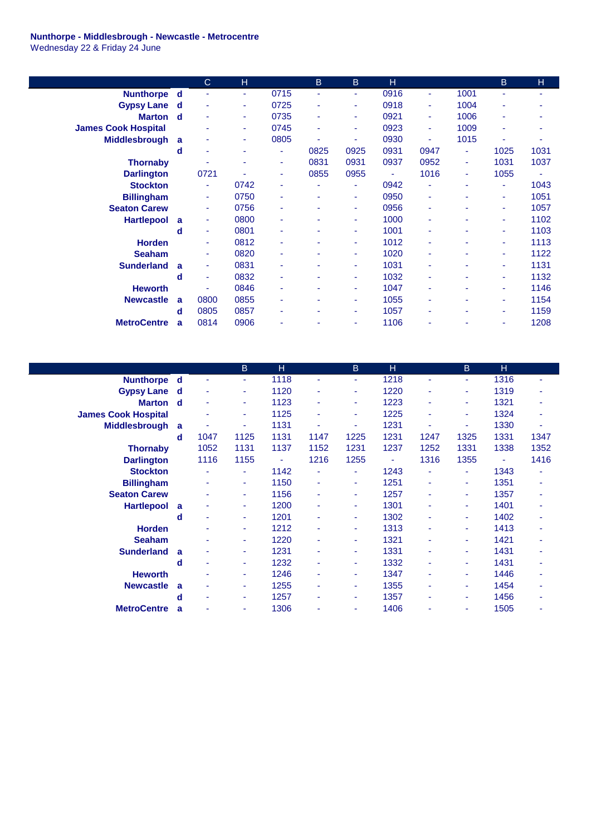## **Nunthorpe - Middlesbrough - Newcastle - Metrocentre**

Wednesday 22 & Friday 24 June

|                            |   | $\mathbf C$    | H    |      | B.   | B.   | H    |      |                | B.     | H    |
|----------------------------|---|----------------|------|------|------|------|------|------|----------------|--------|------|
| <b>Nunthorpe</b>           | d | ÷              | ٠    | 0715 | ÷    | ÷.   | 0916 | ٠    | 1001           | ÷.     | ٠    |
| <b>Gypsy Lane</b>          | d | ٠              | ٠    | 0725 | ٠    | ٠    | 0918 | ٠    | 1004           |        |      |
| <b>Marton</b>              | d | ٠              | ٠    | 0735 | ٠    | ٠    | 0921 | ٠    | 1006           | ٠      |      |
| <b>James Cook Hospital</b> |   | ٠              | ٠    | 0745 | ٠    | ٠    | 0923 | ٠    | 1009           | ٠      |      |
| <b>Middlesbrough</b>       | a | ٠              | ٠    | 0805 | ٠    | ٠    | 0930 | ٠    | 1015           | ۰      | ۰    |
|                            | d | ٠              | ٠    | ٠    | 0825 | 0925 | 0931 | 0947 | $\blacksquare$ | 1025   | 1031 |
| <b>Thornaby</b>            |   | ٠              | ٠    | ٠    | 0831 | 0931 | 0937 | 0952 | ٠              | 1031   | 1037 |
| <b>Darlington</b>          |   | 0721           | ٠    | ٠    | 0855 | 0955 | ٠    | 1016 | ٠              | 1055   | ٠    |
| <b>Stockton</b>            |   | $\blacksquare$ | 0742 | ۰    | ٠    | ٠    | 0942 | ٠    | ٠              | $\sim$ | 1043 |
| <b>Billingham</b>          |   | ٠              | 0750 | ٠    | ٠    | ÷    | 0950 | ٠    |                | ٠      | 1051 |
| <b>Seaton Carew</b>        |   | $\blacksquare$ | 0756 | ۰    | ٠    | ٠    | 0956 | ٠    |                | ٠      | 1057 |
| <b>Hartlepool</b>          | a | ٠              | 0800 |      | ٠    | ٠    | 1000 | ٠    |                | ٠      | 1102 |
|                            | d | $\sim$         | 0801 | ٠    | ٠    | ٠    | 1001 | ٠    |                | ÷      | 1103 |
| <b>Horden</b>              |   | $\sim$         | 0812 |      | ٠    | ٠    | 1012 | ٠    | ٠              | ٠      | 1113 |
| <b>Seaham</b>              |   | ٠              | 0820 |      | ٠    | ٠    | 1020 | ٠    |                | ٠      | 1122 |
| <b>Sunderland</b>          | a | $\blacksquare$ | 0831 | ٠    | ٠    | ٠    | 1031 | ٠    |                | ٠      | 1131 |
|                            | d | $\blacksquare$ | 0832 | ۰    | ٠    | ٠    | 1032 | ٠    |                | ٠      | 1132 |
| <b>Heworth</b>             |   | ٠              | 0846 |      | ۰    | ٠    | 1047 | ٠    |                | ۰      | 1146 |
| <b>Newcastle</b>           | a | 0800           | 0855 | ۰    | ٠    | ٠    | 1055 | ٠    |                | ٠      | 1154 |
|                            | d | 0805           | 0857 | ۰    | ٠    | ٠    | 1057 | ٠    | ٠              | ٠      | 1159 |
| <b>MetroCentre</b>         | a | 0814           | 0906 |      | ۰    | ٠    | 1106 | ٠    |                | ۰      | 1208 |

|                            |   |      | <sub>B</sub>   | H    |      | <sub>B</sub> | H              |      | B    | H              |      |
|----------------------------|---|------|----------------|------|------|--------------|----------------|------|------|----------------|------|
| <b>Nunthorpe</b>           | d | ٠    | ÷              | 1118 | ÷    | ٠            | 1218           | ٠    | ÷    | 1316           | ٠    |
| <b>Gypsy Lane</b>          | d | ä,   | ٠              | 1120 | ۰    | ÷            | 1220           | ٠    | ٠    | 1319           |      |
| <b>Marton</b>              | d | ٠    | ٠              | 1123 | ٠    | ٠            | 1223           | ٠    | ٠    | 1321           | ٠    |
| <b>James Cook Hospital</b> |   | ٠    | $\sim$         | 1125 | ÷    | ٠            | 1225           | ٠    | ٠    | 1324           | ÷    |
| <b>Middlesbrough</b>       | a |      | $\blacksquare$ | 1131 |      | ۰            | 1231           | ٠    | ٠    | 1330           | ÷    |
|                            | d | 1047 | 1125           | 1131 | 1147 | 1225         | 1231           | 1247 | 1325 | 1331           | 1347 |
| <b>Thornaby</b>            |   | 1052 | 1131           | 1137 | 1152 | 1231         | 1237           | 1252 | 1331 | 1338           | 1352 |
| <b>Darlington</b>          |   | 1116 | 1155           | ÷    | 1216 | 1255         | $\blacksquare$ | 1316 | 1355 | $\blacksquare$ | 1416 |
| <b>Stockton</b>            |   |      | $\sim$         | 1142 | ٠    | ÷            | 1243           | ٠    | ٠    | 1343           |      |
| <b>Billingham</b>          |   | ٠    | ٠              | 1150 | ٠    | ٠            | 1251           | ٠    | ٠    | 1351           | ۰    |
| <b>Seaton Carew</b>        |   | ٠    | ٠              | 1156 | ٠    | ٠            | 1257           | ٠    | ٠    | 1357           | ٠    |
| <b>Hartlepool</b>          | a |      | ٠              | 1200 | ٠    | ٠            | 1301           | ٠    | ٠    | 1401           |      |
|                            | d |      | ٠              | 1201 |      | ٠            | 1302           | ٠    | ٠    | 1402           |      |
| <b>Horden</b>              |   |      | ٠              | 1212 | ٠    | ٠            | 1313           | ٠    | ٠    | 1413           | ÷    |
| <b>Seaham</b>              |   |      | ٠              | 1220 | ٠    | ٠            | 1321           | ٠    | ٠    | 1421           |      |
| <b>Sunderland</b>          | a |      | ٠              | 1231 |      | ٠            | 1331           | ٠    | ٠    | 1431           |      |
|                            | d | ٠    | ٠              | 1232 | ٠    | ٠            | 1332           | ٠    | ٠    | 1431           | ۰    |
| <b>Heworth</b>             |   |      | ٠              | 1246 |      | ٠            | 1347           | ٠    | ٠    | 1446           |      |
| <b>Newcastle</b>           | a |      | ٠              | 1255 | ٠    | ٠            | 1355           | ٠    | ٠    | 1454           | ۰    |
|                            | d | ٠    | $\sim$         | 1257 | ٠    | ٠            | 1357           | ٠    | ٠    | 1456           | ۰    |
| <b>MetroCentre</b>         | a |      | ٠              | 1306 |      | ۰            | 1406           |      | ٠    | 1505           |      |
|                            |   |      |                |      |      |              |                |      |      |                |      |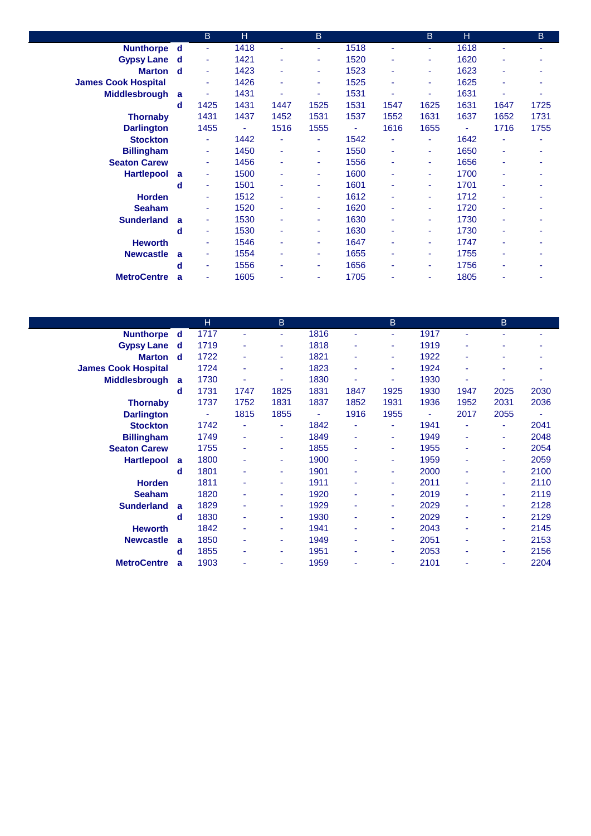|                            |              | <sub>B</sub> | H    |      | B.   |      |      | B    | H    |      | B.   |
|----------------------------|--------------|--------------|------|------|------|------|------|------|------|------|------|
| Nunthorpe d                |              | ÷.           | 1418 | ٠    | ٠.   | 1518 | ٠    | ۰.   | 1618 | ٠    | ٠    |
| <b>Gypsy Lane</b>          | d            | ٠            | 1421 | ٠    | ٠    | 1520 | ٠    | ٠    | 1620 | ٠    | ۰    |
| <b>Marton</b>              | d d          | ٠            | 1423 | ٠    | ٠    | 1523 | ٠    | ٠    | 1623 | ٠    |      |
| <b>James Cook Hospital</b> |              | ٠            | 1426 | ٠    | ٠    | 1525 | ٠    | ٠    | 1625 | ٠    |      |
| Middlesbrough              | a            |              | 1431 | ٠    | ٠    | 1531 | ٠    | ٠    | 1631 | ٠    | ۰    |
|                            | d            | 1425         | 1431 | 1447 | 1525 | 1531 | 1547 | 1625 | 1631 | 1647 | 1725 |
| <b>Thornaby</b>            |              | 1431         | 1437 | 1452 | 1531 | 1537 | 1552 | 1631 | 1637 | 1652 | 1731 |
| <b>Darlington</b>          |              | 1455         | ٠    | 1516 | 1555 | ٠    | 1616 | 1655 | ٠    | 1716 | 1755 |
| <b>Stockton</b>            |              | ۰.           | 1442 | ٠    | ٠    | 1542 | ٠    | ٠    | 1642 | ٠    | ۰    |
| <b>Billingham</b>          |              | ٠            | 1450 | ٠    | ٠    | 1550 | ÷    | ٠    | 1650 | ٠    |      |
| <b>Seaton Carew</b>        |              | ٠            | 1456 | ٠    | ٠    | 1556 | ٠    | ٠    | 1656 | ٠    |      |
| <b>Hartlepool</b>          | a            | ٠            | 1500 | ٠    | ٠    | 1600 | ٠    | ٠    | 1700 | ٠    |      |
|                            | d            | ٠            | 1501 | ٠    | ٠    | 1601 | ٠    | ٠    | 1701 | ٠    |      |
| <b>Horden</b>              |              | ٠            | 1512 | ۰    | ٠    | 1612 | ٠    | ٠    | 1712 | ٠    |      |
| <b>Seaham</b>              |              | ٠            | 1520 | ٠    | ٠    | 1620 | ÷    | ٠    | 1720 | ÷    | ۰    |
| <b>Sunderland</b>          | $\mathbf{a}$ | ٠            | 1530 | ٠    | ٠    | 1630 | ٠    | ٠    | 1730 | ٠    |      |
|                            | d            | ٠            | 1530 | ٠    | ٠    | 1630 | ٠    | ٠    | 1730 | ٠    |      |
| <b>Heworth</b>             |              |              | 1546 | ٠    | ٠    | 1647 | ٠    | ٠    | 1747 | ٠    |      |
| <b>Newcastle</b>           | $\mathbf{a}$ | ٠            | 1554 | ٠    | ٠    | 1655 | ٠    | ٠    | 1755 | ٠    |      |
|                            | d            | ٠            | 1556 | ٠    | ٠    | 1656 | ٠    | ٠    | 1756 | ٠    |      |
| <b>MetroCentre</b>         | a            |              | 1605 | ۰    |      | 1705 | ۰    | ٠    | 1805 |      |      |

|                            |   | H    |      | B                        |      |      | B                        |      |      | B.     |      |
|----------------------------|---|------|------|--------------------------|------|------|--------------------------|------|------|--------|------|
| <b>Nunthorpe</b>           | d | 1717 | ٠    | $\overline{\phantom{a}}$ | 1816 | ٠    | ٠                        | 1917 | ۰    | ۰      |      |
| <b>Gypsy Lane</b>          | d | 1719 | ٠    | ٠                        | 1818 | ۰    | $\overline{\phantom{a}}$ | 1919 | ۰    | ۰      |      |
| <b>Marton</b>              | d | 1722 | ٠    | ٠                        | 1821 | ٠    | ٠                        | 1922 | ۰    | ۰      |      |
| <b>James Cook Hospital</b> |   | 1724 | ٠    | ٠                        | 1823 | ٠    | ٠                        | 1924 | ٠    | ۰      | ۰    |
| <b>Middlesbrough</b>       | a | 1730 | ۰    | ٠                        | 1830 |      | ٠                        | 1930 |      | ۰      |      |
|                            | d | 1731 | 1747 | 1825                     | 1831 | 1847 | 1925                     | 1930 | 1947 | 2025   | 2030 |
| <b>Thornaby</b>            |   | 1737 | 1752 | 1831                     | 1837 | 1852 | 1931                     | 1936 | 1952 | 2031   | 2036 |
| <b>Darlington</b>          |   |      | 1815 | 1855                     | ٠    | 1916 | 1955                     | ٠    | 2017 | 2055   | ٠    |
| <b>Stockton</b>            |   | 1742 | ٠    | ٠                        | 1842 | ٠    | ÷                        | 1941 | ٠    | $\sim$ | 2041 |
| <b>Billingham</b>          |   | 1749 | ٠    | ٠                        | 1849 | ٠    | ٠                        | 1949 | ٠    | ٠      | 2048 |
| <b>Seaton Carew</b>        |   | 1755 | ٠    | ٠                        | 1855 | ٠    | ٠                        | 1955 | ۰    | ٠      | 2054 |
| <b>Hartlepool</b>          | a | 1800 | ٠    | ٠                        | 1900 | ٠    | ٠                        | 1959 | ٠    | ٠      | 2059 |
|                            | d | 1801 | ٠    | ٠                        | 1901 | ٠    | ٠                        | 2000 | ۰    | ٠      | 2100 |
| <b>Horden</b>              |   | 1811 | ٠    | ٠                        | 1911 | ٠    | ٠                        | 2011 |      | ٠      | 2110 |
| <b>Seaham</b>              |   | 1820 | ٠    | ٠                        | 1920 | ٠    | ٠                        | 2019 | ٠    | ٠      | 2119 |
| <b>Sunderland</b>          | a | 1829 | ٠    | ٠                        | 1929 | ٠    | ٠                        | 2029 | ۰    | ٠      | 2128 |
|                            | d | 1830 | ٠    | ٠                        | 1930 | ۰    | ٠                        | 2029 |      | ۰      | 2129 |
| <b>Heworth</b>             |   | 1842 | ٠    | ٠                        | 1941 | ٠    | ٠                        | 2043 | ۰    | ٠      | 2145 |
| <b>Newcastle</b>           | a | 1850 | ٠    | ٠                        | 1949 | ٠    | ٠                        | 2051 | ٠    | ٠      | 2153 |
|                            | d | 1855 | ٠    | ٠                        | 1951 |      | ٠                        | 2053 |      | ۰      | 2156 |
| <b>MetroCentre</b>         | a | 1903 | ۰    | ٠                        | 1959 | ٠    | ٠                        | 2101 |      | ٠      | 2204 |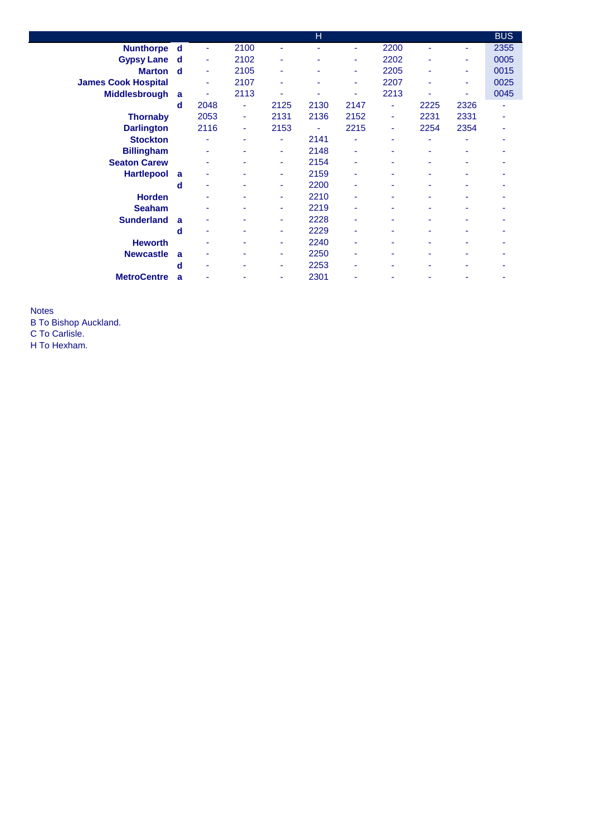|                            |              |      |      |      | H    |      |      |      |      | <b>BUS</b> |
|----------------------------|--------------|------|------|------|------|------|------|------|------|------------|
| Nunthorpe d                |              | ٠    | 2100 | ٠    |      | ٠    | 2200 | ٠    | ٠    | 2355       |
| <b>Gypsy Lane</b>          | $\mathbf d$  | ٠    | 2102 | ٠    |      | ٠    | 2202 | ٠    | ٠    | 0005       |
| <b>Marton</b> d            |              | ٠    | 2105 | ٠    |      | ٠    | 2205 | ٠    | ٠    | 0015       |
| <b>James Cook Hospital</b> |              | ٠    | 2107 | ۰    |      | ٠    | 2207 | ٠    | ٠    | 0025       |
| <b>Middlesbrough</b>       | $\mathbf{a}$ |      | 2113 |      |      | ٠    | 2213 |      |      | 0045       |
|                            | d            | 2048 | ٠    | 2125 | 2130 | 2147 | ٠    | 2225 | 2326 | ٠          |
| <b>Thornaby</b>            |              | 2053 | ٠    | 2131 | 2136 | 2152 | ٠    | 2231 | 2331 |            |
| <b>Darlington</b>          |              | 2116 | ٠    | 2153 | ٠    | 2215 | ٠    | 2254 | 2354 |            |
| <b>Stockton</b>            |              | ٠    | ٠    | ٠    | 2141 | ٠    | ٠    | ٠    | ٠    | ۰          |
| <b>Billingham</b>          |              | ٠    |      | ٠    | 2148 | ٠    | ٠    | ٠    | ٠    |            |
| <b>Seaton Carew</b>        |              |      |      | ٠    | 2154 | ٠    | ۰    |      |      |            |
| <b>Hartlepool</b>          | a            |      |      | ٠    | 2159 | ۰    | ٠    | ٠    | ٠    |            |
|                            | d            | ۰    |      | ۰    | 2200 |      | ۰    | ٠    |      |            |
| <b>Horden</b>              |              | ٠    |      | ٠    | 2210 | ٠    | ۰    |      |      |            |
| <b>Seaham</b>              |              | ٠    |      | ٠    | 2219 | ٠    | ٠    | ٠    | ۰    |            |
| <b>Sunderland</b>          | a            |      |      | ٠    | 2228 | ٠    | ٠    |      |      |            |
|                            | d            | ٠    |      | ٠    | 2229 | ٠    | ۰    | ۰    |      |            |
| <b>Heworth</b>             |              |      |      | ۰    | 2240 |      | ۰    | ٠    |      |            |
| <b>Newcastle</b>           | a            |      |      | ٠    | 2250 |      | ٠    | ٠    |      |            |
|                            | d            |      |      | ٠    | 2253 |      | ۰    |      |      |            |
| <b>MetroCentre</b>         | a            |      |      | ٠    | 2301 |      |      |      |      |            |

Notes B To Bishop Auckland. C To Carlisle. H To Hexham.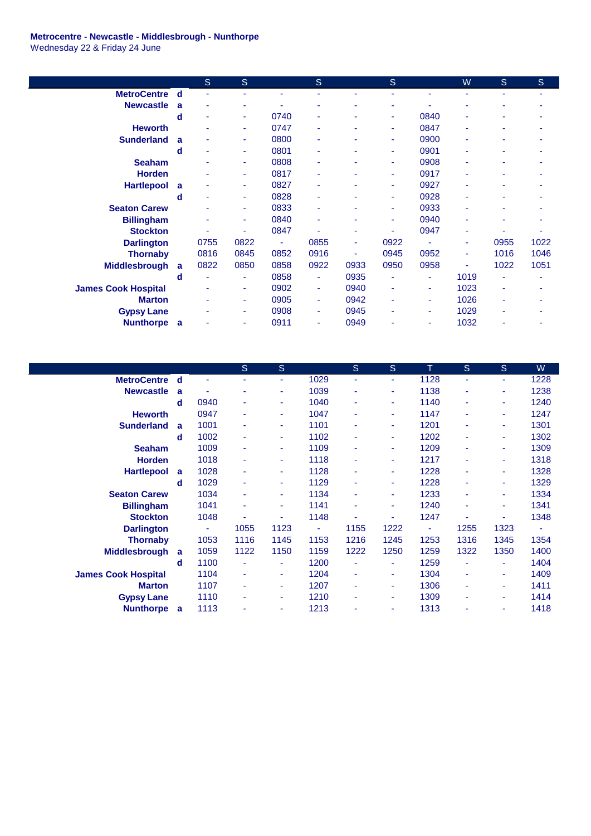## **Metrocentre - Newcastle - Middlesbrough - Nunthorpe**

Wednesday 22 & Friday 24 June

|                            |   | <sub>S</sub>   | S.   |                | <sub>S</sub> |      | S                        |      | W                        | <sub>S</sub> | S    |
|----------------------------|---|----------------|------|----------------|--------------|------|--------------------------|------|--------------------------|--------------|------|
| <b>MetroCentre</b>         | d | $\blacksquare$ | ٠    |                | ÷.           | ٠    | $\overline{\phantom{a}}$ | ÷    |                          | ٠            | ٠    |
| <b>Newcastle</b>           | a |                | ۰    |                |              | ٠    | ۰                        | ۰    | ٠                        |              |      |
|                            | d | ٠              | ٠    | 0740           | ۰            |      | ٠                        | 0840 |                          |              |      |
| <b>Heworth</b>             |   | ٠              | ٠    | 0747           | ٠            | ٠    | ٠                        | 0847 | $\overline{\phantom{a}}$ | ٠            |      |
| <b>Sunderland</b>          | a | ٠              | ٠    | 0800           | ۰            | ۰    | ٠                        | 0900 | ٠                        | ٠            |      |
|                            | d | ٠              | ٠    | 0801           |              |      | ٠                        | 0901 |                          |              |      |
| <b>Seaham</b>              |   | ٠              | ٠    | 0808           | ٠            | ٠    | ٠                        | 0908 | ٠                        | ٠            |      |
| <b>Horden</b>              |   | ۰              | ٠    | 0817           | ٠            | ۰    | ٠                        | 0917 | ٠                        | ٠            |      |
| <b>Hartlepool</b>          | a |                | ٠    | 0827           | ÷            |      | $\overline{\phantom{a}}$ | 0927 |                          |              |      |
|                            | d | ۰              | ٠    | 0828           | ÷.           | ٠    | ٠                        | 0928 |                          | ٠            |      |
| <b>Seaton Carew</b>        |   | ۰              | ٠    | 0833           | ٠            | ٠    | ٠                        | 0933 |                          | ٠            |      |
| <b>Billingham</b>          |   | ٠              | ٠    | 0840           | ۰            |      | ٠                        | 0940 |                          |              |      |
| <b>Stockton</b>            |   |                | ٠    | 0847           | ٠            | ۰    | ٠                        | 0947 | ٠                        |              |      |
| <b>Darlington</b>          |   | 0755           | 0822 | $\blacksquare$ | 0855         | ٠    | 0922                     | ٠    | ٠                        | 0955         | 1022 |
| <b>Thornaby</b>            |   | 0816           | 0845 | 0852           | 0916         | ٠    | 0945                     | 0952 | ٠                        | 1016         | 1046 |
| <b>Middlesbrough</b>       | a | 0822           | 0850 | 0858           | 0922         | 0933 | 0950                     | 0958 | ٠                        | 1022         | 1051 |
|                            | d |                | ٠    | 0858           | ٠            | 0935 | ۰                        | ٠    | 1019                     | ۰            |      |
| <b>James Cook Hospital</b> |   |                | ۰    | 0902           | ٠            | 0940 | ٠                        | ٠    | 1023                     |              |      |
| <b>Marton</b>              |   | ٠              | ٠    | 0905           | ٠            | 0942 | ٠                        | ٠    | 1026                     | ٠            |      |
| <b>Gypsy Lane</b>          |   | ٠              | ٠    | 0908           | ٠            | 0945 | ۰                        | ٠    | 1029                     | ٠            |      |
| <b>Nunthorpe</b>           | a | ٠              | ۰    | 0911           | ۰            | 0949 |                          | ٠    | 1032                     |              |      |

| 1029<br>1128<br>MetroCentre d<br>÷.<br>٠<br>٠<br>۰.<br>٠<br>٠<br>٠<br>1039<br>1138<br><b>Newcastle</b><br>a<br>٠<br>٠<br>٠<br>٠<br>1040<br>1140<br>0940<br>d<br>٠<br>٠<br>٠<br>٠<br>٠<br>٠<br>0947<br>1047<br>1147<br><b>Heworth</b><br>٠<br>٠<br>۰.<br>٠<br>٠<br>٠<br>1001<br>1101<br>1201<br><b>Sunderland</b><br>a<br>٠<br>٠<br>۰<br>٠<br>1102<br>1002<br>1202<br>d<br>٠<br>٠<br>۰.<br>٠<br>٠<br>٠<br>1009<br>1109<br>1209<br><b>Seaham</b><br>٠<br>٠<br>٠<br>۰.<br>۰.<br>٠<br>1018<br>1118<br>1217<br><b>Horden</b><br>٠<br>٠<br>٠<br>٠<br>٠<br>٠<br>1128<br>1028<br>1228<br><b>Hartlepool</b><br>a<br>٠<br>٠<br>٠<br>٠<br>٠<br>٠<br>1029<br>1129<br>1228<br>d<br>٠<br>٠<br>٠<br>٠<br>۰<br>٠<br>1034<br>1134<br>1233<br><b>Seaton Carew</b><br>٠<br>٠<br>٠<br>٠<br>۰<br>٠<br>1141<br>1240<br>1041<br><b>Billingham</b><br>٠<br>٠<br>٠<br>٠<br>٠<br>٠<br>1048<br>1148<br>1247<br><b>Stockton</b><br>٠<br>٠<br>٠<br>1055<br>1123<br>1155<br>1222<br>1255<br>1323<br><b>Darlington</b><br>÷<br>$\overline{\phantom{a}}$<br>٠<br>1053<br>1116<br>1145<br>1153<br>1216<br>1253<br>1316<br>1245<br>1345<br><b>Thornaby</b><br>1059<br>1159<br>1259<br>1122<br>1150<br>1222<br>1250<br>1322<br>1350<br><b>Middlesbrough</b><br>a<br>1100<br>1200<br>1259<br>d<br>٠<br>٠<br>٠<br>٠<br>٠<br>٠<br>1104<br>1204<br>1304<br><b>James Cook Hospital</b><br>÷<br>٠<br>٠<br>٠<br>٠<br>٠<br>٠<br>٠<br>٠<br>٠<br>٠<br>٠ | W    | <sub>S</sub> | S | T    | <sub>S</sub> | S |      | S | S |      |               |
|------------------------------------------------------------------------------------------------------------------------------------------------------------------------------------------------------------------------------------------------------------------------------------------------------------------------------------------------------------------------------------------------------------------------------------------------------------------------------------------------------------------------------------------------------------------------------------------------------------------------------------------------------------------------------------------------------------------------------------------------------------------------------------------------------------------------------------------------------------------------------------------------------------------------------------------------------------------------------------------------------------------------------------------------------------------------------------------------------------------------------------------------------------------------------------------------------------------------------------------------------------------------------------------------------------------------------------------------------------------------------------------------------------|------|--------------|---|------|--------------|---|------|---|---|------|---------------|
|                                                                                                                                                                                                                                                                                                                                                                                                                                                                                                                                                                                                                                                                                                                                                                                                                                                                                                                                                                                                                                                                                                                                                                                                                                                                                                                                                                                                            | 1228 |              |   |      |              |   |      |   |   |      |               |
|                                                                                                                                                                                                                                                                                                                                                                                                                                                                                                                                                                                                                                                                                                                                                                                                                                                                                                                                                                                                                                                                                                                                                                                                                                                                                                                                                                                                            | 1238 |              |   |      |              |   |      |   |   |      |               |
|                                                                                                                                                                                                                                                                                                                                                                                                                                                                                                                                                                                                                                                                                                                                                                                                                                                                                                                                                                                                                                                                                                                                                                                                                                                                                                                                                                                                            | 1240 |              |   |      |              |   |      |   |   |      |               |
|                                                                                                                                                                                                                                                                                                                                                                                                                                                                                                                                                                                                                                                                                                                                                                                                                                                                                                                                                                                                                                                                                                                                                                                                                                                                                                                                                                                                            | 1247 |              |   |      |              |   |      |   |   |      |               |
|                                                                                                                                                                                                                                                                                                                                                                                                                                                                                                                                                                                                                                                                                                                                                                                                                                                                                                                                                                                                                                                                                                                                                                                                                                                                                                                                                                                                            | 1301 |              |   |      |              |   |      |   |   |      |               |
|                                                                                                                                                                                                                                                                                                                                                                                                                                                                                                                                                                                                                                                                                                                                                                                                                                                                                                                                                                                                                                                                                                                                                                                                                                                                                                                                                                                                            | 1302 |              |   |      |              |   |      |   |   |      |               |
|                                                                                                                                                                                                                                                                                                                                                                                                                                                                                                                                                                                                                                                                                                                                                                                                                                                                                                                                                                                                                                                                                                                                                                                                                                                                                                                                                                                                            | 1309 |              |   |      |              |   |      |   |   |      |               |
|                                                                                                                                                                                                                                                                                                                                                                                                                                                                                                                                                                                                                                                                                                                                                                                                                                                                                                                                                                                                                                                                                                                                                                                                                                                                                                                                                                                                            | 1318 |              |   |      |              |   |      |   |   |      |               |
|                                                                                                                                                                                                                                                                                                                                                                                                                                                                                                                                                                                                                                                                                                                                                                                                                                                                                                                                                                                                                                                                                                                                                                                                                                                                                                                                                                                                            | 1328 |              |   |      |              |   |      |   |   |      |               |
|                                                                                                                                                                                                                                                                                                                                                                                                                                                                                                                                                                                                                                                                                                                                                                                                                                                                                                                                                                                                                                                                                                                                                                                                                                                                                                                                                                                                            | 1329 |              |   |      |              |   |      |   |   |      |               |
|                                                                                                                                                                                                                                                                                                                                                                                                                                                                                                                                                                                                                                                                                                                                                                                                                                                                                                                                                                                                                                                                                                                                                                                                                                                                                                                                                                                                            | 1334 |              |   |      |              |   |      |   |   |      |               |
|                                                                                                                                                                                                                                                                                                                                                                                                                                                                                                                                                                                                                                                                                                                                                                                                                                                                                                                                                                                                                                                                                                                                                                                                                                                                                                                                                                                                            | 1341 |              |   |      |              |   |      |   |   |      |               |
|                                                                                                                                                                                                                                                                                                                                                                                                                                                                                                                                                                                                                                                                                                                                                                                                                                                                                                                                                                                                                                                                                                                                                                                                                                                                                                                                                                                                            | 1348 |              |   |      |              |   |      |   |   |      |               |
|                                                                                                                                                                                                                                                                                                                                                                                                                                                                                                                                                                                                                                                                                                                                                                                                                                                                                                                                                                                                                                                                                                                                                                                                                                                                                                                                                                                                            | ÷    |              |   |      |              |   |      |   |   |      |               |
|                                                                                                                                                                                                                                                                                                                                                                                                                                                                                                                                                                                                                                                                                                                                                                                                                                                                                                                                                                                                                                                                                                                                                                                                                                                                                                                                                                                                            | 1354 |              |   |      |              |   |      |   |   |      |               |
|                                                                                                                                                                                                                                                                                                                                                                                                                                                                                                                                                                                                                                                                                                                                                                                                                                                                                                                                                                                                                                                                                                                                                                                                                                                                                                                                                                                                            | 1400 |              |   |      |              |   |      |   |   |      |               |
|                                                                                                                                                                                                                                                                                                                                                                                                                                                                                                                                                                                                                                                                                                                                                                                                                                                                                                                                                                                                                                                                                                                                                                                                                                                                                                                                                                                                            | 1404 |              |   |      |              |   |      |   |   |      |               |
|                                                                                                                                                                                                                                                                                                                                                                                                                                                                                                                                                                                                                                                                                                                                                                                                                                                                                                                                                                                                                                                                                                                                                                                                                                                                                                                                                                                                            | 1409 |              |   |      |              |   |      |   |   |      |               |
|                                                                                                                                                                                                                                                                                                                                                                                                                                                                                                                                                                                                                                                                                                                                                                                                                                                                                                                                                                                                                                                                                                                                                                                                                                                                                                                                                                                                            | 1411 |              |   | 1306 |              |   | 1207 |   |   | 1107 | <b>Marton</b> |
| 1110<br>1210<br>1309<br><b>Gypsy Lane</b><br>٠<br>٠<br>٠<br>٠<br>٠<br>٠                                                                                                                                                                                                                                                                                                                                                                                                                                                                                                                                                                                                                                                                                                                                                                                                                                                                                                                                                                                                                                                                                                                                                                                                                                                                                                                                    | 1414 |              |   |      |              |   |      |   |   |      |               |
| 1113<br>1213<br>1313<br><b>Nunthorpe</b><br><b>a</b><br>٠<br>٠<br>٠<br>٠<br>٠<br>۰                                                                                                                                                                                                                                                                                                                                                                                                                                                                                                                                                                                                                                                                                                                                                                                                                                                                                                                                                                                                                                                                                                                                                                                                                                                                                                                         | 1418 |              |   |      |              |   |      |   |   |      |               |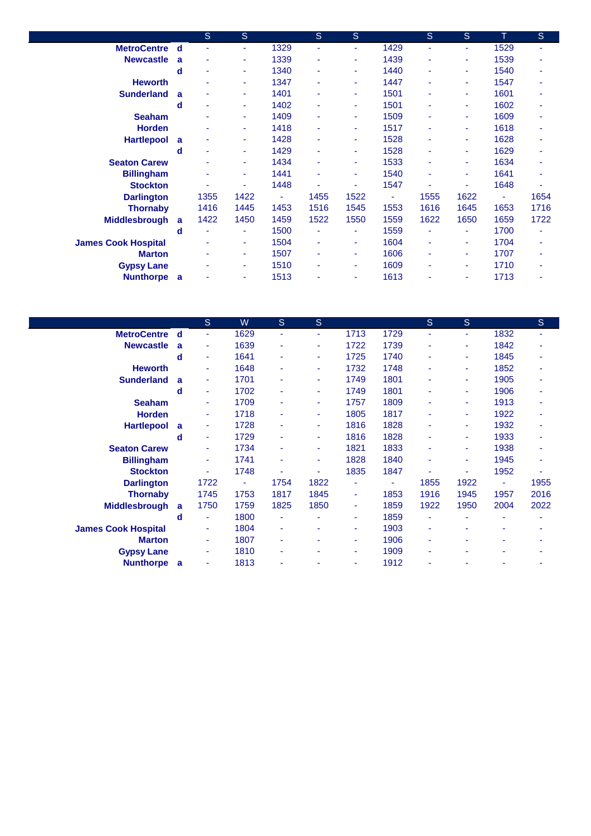|                            |   | S    | <sub>S</sub> |      | S.             | S              |      | S.   | S              | Τ    | S    |
|----------------------------|---|------|--------------|------|----------------|----------------|------|------|----------------|------|------|
| MetroCentre d              |   | ٠    | ٠            | 1329 | ÷              | ٠              | 1429 | ٠    | ÷              | 1529 | ٠    |
| <b>Newcastle</b>           | a | ٠    | ٠            | 1339 | $\blacksquare$ | ÷              | 1439 | ۰    | $\blacksquare$ | 1539 | ٠    |
|                            | d | ٠    | ٠            | 1340 | ٠              | ۰              | 1440 | ۰    | ٠              | 1540 | ۰    |
| <b>Heworth</b>             |   | ٠    | ٠            | 1347 | ٠              | ٠              | 1447 | ۰    | ٠              | 1547 | ۰    |
| <b>Sunderland</b>          | a | ٠    | ٠            | 1401 | ٠              | ٠              | 1501 | ÷    | $\sim$         | 1601 | ۰    |
|                            | d | ٠    | ٠            | 1402 | ۰              | ۰              | 1501 |      | ٠              | 1602 |      |
| <b>Seaham</b>              |   | ٠    | ٠            | 1409 | ٠              | $\blacksquare$ | 1509 | ۰    | $\blacksquare$ | 1609 | ٠    |
| <b>Horden</b>              |   | ۰    | ٠            | 1418 | ٠              | ٠              | 1517 | ۰    | ٠              | 1618 | ٠    |
| <b>Hartlepool</b>          | a | ٠    | ٠            | 1428 | ۰              | ٠              | 1528 | ۰    | $\blacksquare$ | 1628 | ۰    |
|                            | d | ٠    | ٠            | 1429 | ٠              | ٠              | 1528 | ٠    | $\blacksquare$ | 1629 | ٠    |
| <b>Seaton Carew</b>        |   | ٠    | ٠            | 1434 | ۰              | $\blacksquare$ | 1533 | ۰    | ٠              | 1634 | ۰    |
| <b>Billingham</b>          |   | ٠    | ٠            | 1441 | ۰              | ٠              | 1540 | ۰    | ٠              | 1641 | ۰    |
| <b>Stockton</b>            |   |      | ÷            | 1448 | ٠              | ä,             | 1547 | ٠    | ٠              | 1648 | ٠    |
| <b>Darlington</b>          |   | 1355 | 1422         | ٠    | 1455           | 1522           | ٠    | 1555 | 1622           | ٠    | 1654 |
| <b>Thornaby</b>            |   | 1416 | 1445         | 1453 | 1516           | 1545           | 1553 | 1616 | 1645           | 1653 | 1716 |
| Middlesbrough              | a | 1422 | 1450         | 1459 | 1522           | 1550           | 1559 | 1622 | 1650           | 1659 | 1722 |
|                            | d |      | ٠            | 1500 | ٠              | ٠              | 1559 | ۰    | $\blacksquare$ | 1700 | ۰    |
| <b>James Cook Hospital</b> |   | ٠    | ٠            | 1504 | ٠              | $\blacksquare$ | 1604 | ۰    | $\blacksquare$ | 1704 | ۰    |
| <b>Marton</b>              |   | ٠    | ٠            | 1507 | ٠              | ٠              | 1606 | ۰    | ٠              | 1707 | ۰    |
| <b>Gypsy Lane</b>          |   |      | ٠            | 1510 | ۰              | ۰              | 1609 | ۰    | ٠              | 1710 | ٠    |
| Nunthorpe a                |   | ۰    | ٠            | 1513 | ۰              | ٠              | 1613 | ۰    | $\blacksquare$ | 1713 | ۰    |

|                            |   | S.             | W    | <sub>S</sub> | S.   |      |      | S.   | <sub>S</sub> |      | S    |
|----------------------------|---|----------------|------|--------------|------|------|------|------|--------------|------|------|
| <b>MetroCentre</b>         | d | $\blacksquare$ | 1629 | ٠            | ٠    | 1713 | 1729 | ٠    | ٠            | 1832 | ٠    |
| <b>Newcastle</b>           | a | ٠              | 1639 |              | ۰    | 1722 | 1739 | ٠    | ٠            | 1842 |      |
|                            | d | ٠              | 1641 | ٠            | ٠    | 1725 | 1740 | ٠    | ٠            | 1845 | ٠    |
| <b>Heworth</b>             |   | ä,             | 1648 | ٠            | ٠    | 1732 | 1748 | ٠    | ٠            | 1852 | ٠    |
| <b>Sunderland</b>          | a | ٠              | 1701 |              | ۰    | 1749 | 1801 | ٠    | ۰            | 1905 |      |
|                            | d | ٠              | 1702 | ٠            | ٠    | 1749 | 1801 | ٠    | ٠            | 1906 | ۰    |
| <b>Seaham</b>              |   | ÷              | 1709 | ٠            | ٠    | 1757 | 1809 | ٠    | ٠            | 1913 | ٠    |
| <b>Horden</b>              |   | ٠              | 1718 |              | ٠    | 1805 | 1817 | ٠    | ٠            | 1922 |      |
| <b>Hartlepool</b>          | a | ٠              | 1728 | ٠            | ٠    | 1816 | 1828 | ٠    | ٠            | 1932 | ۰    |
|                            | d | $\blacksquare$ | 1729 | ٠            | ٠    | 1816 | 1828 | ٠    | ٠            | 1933 | ٠    |
| <b>Seaton Carew</b>        |   | ٠              | 1734 |              | ٠    | 1821 | 1833 | ٠    | ٠            | 1938 |      |
| <b>Billingham</b>          |   | ٠              | 1741 |              | ٠    | 1828 | 1840 | ٠    | ٠            | 1945 | ۰    |
| <b>Stockton</b>            |   | ٠              | 1748 |              | ٠    | 1835 | 1847 | ۰    | ٠            | 1952 | ٠    |
| <b>Darlington</b>          |   | 1722           | ٠    | 1754         | 1822 | ٠    |      | 1855 | 1922         |      | 1955 |
| <b>Thornaby</b>            |   | 1745           | 1753 | 1817         | 1845 | ٠    | 1853 | 1916 | 1945         | 1957 | 2016 |
| <b>Middlesbrough</b>       | a | 1750           | 1759 | 1825         | 1850 | ٠    | 1859 | 1922 | 1950         | 2004 | 2022 |
|                            | d | ۰              | 1800 |              | ۰    | ٠    | 1859 | ٠    |              |      |      |
| <b>James Cook Hospital</b> |   | ٠              | 1804 | ٠            | ۰    | ٠    | 1903 | ٠    | ۰            |      |      |
| <b>Marton</b>              |   | ٠              | 1807 | ٠            | ٠    | ٠    | 1906 | ٠    | ۰            | ۰    |      |
| <b>Gypsy Lane</b>          |   | ٠              | 1810 |              | ۰    | ۰    | 1909 | ۰    |              |      |      |
| <b>Nunthorpe</b>           | a | $\blacksquare$ | 1813 |              | ۰    | ٠    | 1912 | ٠    |              |      |      |